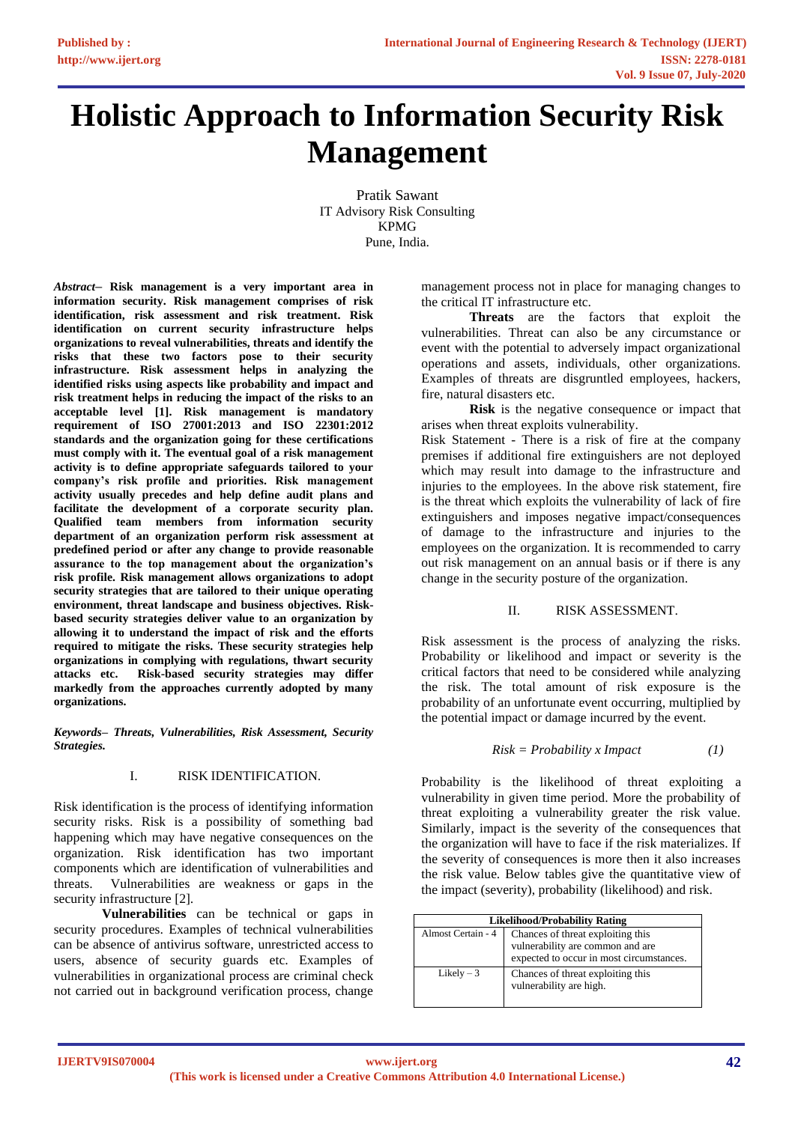# **Holistic Approach to Information Security Risk Management**

Pratik Sawant IT Advisory Risk Consulting KPMG Pune, India.

*Abstract***– Risk management is a very important area in information security. Risk management comprises of risk identification, risk assessment and risk treatment. Risk identification on current security infrastructure helps organizations to reveal vulnerabilities, threats and identify the risks that these two factors pose to their security infrastructure. Risk assessment helps in analyzing the identified risks using aspects like probability and impact and risk treatment helps in reducing the impact of the risks to an acceptable level [1]. Risk management is mandatory requirement of ISO 27001:2013 and ISO 22301:2012 standards and the organization going for these certifications must comply with it. The eventual goal of a risk management activity is to define appropriate safeguards tailored to your company's risk profile and priorities. Risk management activity usually precedes and help define audit plans and facilitate the development of a corporate security plan. Qualified team members from information security department of an organization perform risk assessment at predefined period or after any change to provide reasonable assurance to the top management about the organization's risk profile. Risk management allows organizations to adopt security strategies that are tailored to their unique operating environment, threat landscape and business objectives. Riskbased security strategies deliver value to an organization by allowing it to understand the impact of risk and the efforts required to mitigate the risks. These security strategies help organizations in complying with regulations, thwart security attacks etc. Risk-based security strategies may differ markedly from the approaches currently adopted by many organizations.**

*Keywords– Threats, Vulnerabilities, Risk Assessment, Security Strategies.*

#### I. RISK IDENTIFICATION.

Risk identification is the process of identifying information security risks. Risk is a possibility of something bad happening which may have negative consequences on the organization. Risk identification has two important components which are identification of vulnerabilities and threats. Vulnerabilities are weakness or gaps in the security infrastructure [2].

**Vulnerabilities** can be technical or gaps in security procedures. Examples of technical vulnerabilities can be absence of antivirus software, unrestricted access to users, absence of security guards etc. Examples of vulnerabilities in organizational process are criminal check not carried out in background verification process, change

management process not in place for managing changes to the critical IT infrastructure etc.

**Threats** are the factors that exploit the vulnerabilities. Threat can also be any circumstance or event with the potential to adversely impact organizational operations and assets, individuals, other organizations. Examples of threats are disgruntled employees, hackers, fire, natural disasters etc.

**Risk** is the negative consequence or impact that arises when threat exploits vulnerability.

Risk Statement - There is a risk of fire at the company premises if additional fire extinguishers are not deployed which may result into damage to the infrastructure and injuries to the employees. In the above risk statement, fire is the threat which exploits the vulnerability of lack of fire extinguishers and imposes negative impact/consequences of damage to the infrastructure and injuries to the employees on the organization. It is recommended to carry out risk management on an annual basis or if there is any change in the security posture of the organization.

### II. RISK ASSESSMENT.

Risk assessment is the process of analyzing the risks. Probability or likelihood and impact or severity is the critical factors that need to be considered while analyzing the risk. The total amount of risk exposure is the probability of an unfortunate event occurring, multiplied by the potential impact or damage incurred by the event.

$$
Risk = Probability \; x \; Impact \qquad (1)
$$

Probability is the likelihood of threat exploiting a vulnerability in given time period. More the probability of threat exploiting a vulnerability greater the risk value. Similarly, impact is the severity of the consequences that the organization will have to face if the risk materializes. If the severity of consequences is more then it also increases the risk value. Below tables give the quantitative view of the impact (severity), probability (likelihood) and risk.

| <b>Likelihood/Probability Rating</b> |                                                                                                                   |  |
|--------------------------------------|-------------------------------------------------------------------------------------------------------------------|--|
| Almost Certain - 4                   | Chances of threat exploiting this<br>vulnerability are common and are<br>expected to occur in most circumstances. |  |
| Likely $-3$                          | Chances of threat exploiting this<br>vulnerability are high.                                                      |  |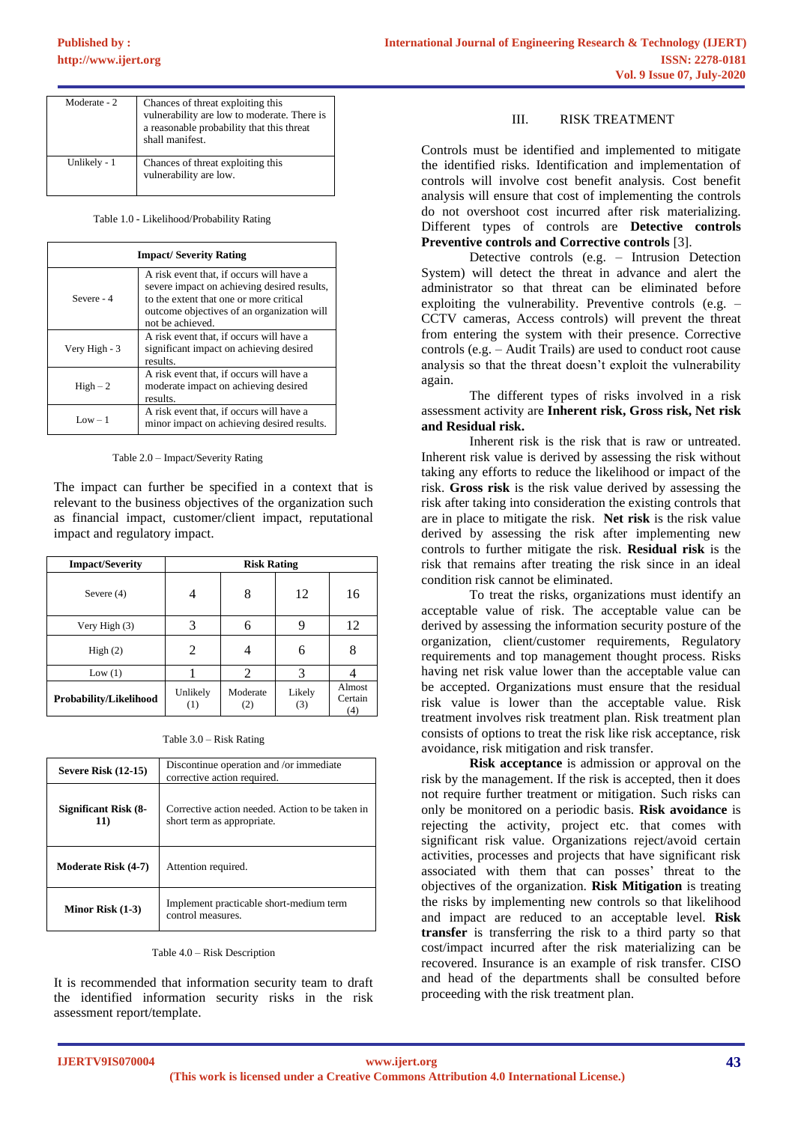| Moderate - 2 | Chances of threat exploiting this<br>vulnerability are low to moderate. There is<br>a reasonable probability that this threat<br>shall manifest. |
|--------------|--------------------------------------------------------------------------------------------------------------------------------------------------|
| Unlikely - 1 | Chances of threat exploiting this<br>vulnerability are low.                                                                                      |

Table 1.0 - Likelihood/Probability Rating

| <b>Impact/Severity Rating</b> |                                                                                                                                                                                                      |  |  |
|-------------------------------|------------------------------------------------------------------------------------------------------------------------------------------------------------------------------------------------------|--|--|
| Severe - 4                    | A risk event that, if occurs will have a<br>severe impact on achieving desired results,<br>to the extent that one or more critical<br>outcome objectives of an organization will<br>not be achieved. |  |  |
| Very High - 3                 | A risk event that, if occurs will have a<br>significant impact on achieving desired<br>results.                                                                                                      |  |  |
| $High-2$                      | A risk event that, if occurs will have a<br>moderate impact on achieving desired<br>results.                                                                                                         |  |  |
| $Low - 1$                     | A risk event that, if occurs will have a<br>minor impact on achieving desired results.                                                                                                               |  |  |

Table 2.0 – Impact/Severity Rating

The impact can further be specified in a context that is relevant to the business objectives of the organization such as financial impact, customer/client impact, reputational impact and regulatory impact.

| <b>Impact/Severity</b> |                 | <b>Risk Rating</b> |               |                          |
|------------------------|-----------------|--------------------|---------------|--------------------------|
| Severe $(4)$           |                 | 8                  | 12            | 16                       |
| Very High (3)          |                 | 6                  |               | 12                       |
| High(2)                |                 |                    | 6             | 8                        |
| Low(1)                 |                 | 2                  | 3             |                          |
| Probability/Likelihood | Unlikely<br>(1) | Moderate<br>(2)    | Likely<br>(3) | Almost<br>Certain<br>(4) |

Table 3.0 – Risk Rating

| <b>Severe Risk (12-15)</b>  | Discontinue operation and /or immediate<br>corrective action required.        |  |
|-----------------------------|-------------------------------------------------------------------------------|--|
| Significant Risk (8-<br>11) | Corrective action needed. Action to be taken in<br>short term as appropriate. |  |
| <b>Moderate Risk (4-7)</b>  | Attention required.                                                           |  |
| Minor Risk $(1-3)$          | Implement practicable short-medium term<br>control measures.                  |  |

Table 4.0 – Risk Description

It is recommended that information security team to draft the identified information security risks in the risk assessment report/template.

# III. RISK TREATMENT

Controls must be identified and implemented to mitigate the identified risks. Identification and implementation of controls will involve cost benefit analysis. Cost benefit analysis will ensure that cost of implementing the controls do not overshoot cost incurred after risk materializing. Different types of controls are **Detective controls Preventive controls and Corrective controls** [3].

Detective controls (e.g. – Intrusion Detection System) will detect the threat in advance and alert the administrator so that threat can be eliminated before exploiting the vulnerability. Preventive controls (e.g. – CCTV cameras, Access controls) will prevent the threat from entering the system with their presence. Corrective controls (e.g. – Audit Trails) are used to conduct root cause analysis so that the threat doesn't exploit the vulnerability again.

The different types of risks involved in a risk assessment activity are **Inherent risk, Gross risk, Net risk and Residual risk.** 

Inherent risk is the risk that is raw or untreated. Inherent risk value is derived by assessing the risk without taking any efforts to reduce the likelihood or impact of the risk. **Gross risk** is the risk value derived by assessing the risk after taking into consideration the existing controls that are in place to mitigate the risk. **Net risk** is the risk value derived by assessing the risk after implementing new controls to further mitigate the risk. **Residual risk** is the risk that remains after treating the risk since in an ideal condition risk cannot be eliminated.

To treat the risks, organizations must identify an acceptable value of risk. The acceptable value can be derived by assessing the information security posture of the organization, client/customer requirements, Regulatory requirements and top management thought process. Risks having net risk value lower than the acceptable value can be accepted. Organizations must ensure that the residual risk value is lower than the acceptable value. Risk treatment involves risk treatment plan. Risk treatment plan consists of options to treat the risk like risk acceptance, risk avoidance, risk mitigation and risk transfer.

**Risk acceptance** is admission or approval on the risk by the management. If the risk is accepted, then it does not require further treatment or mitigation. Such risks can only be monitored on a periodic basis. **Risk avoidance** is rejecting the activity, project etc. that comes with significant risk value. Organizations reject/avoid certain activities, processes and projects that have significant risk associated with them that can posses' threat to the objectives of the organization. **Risk Mitigation** is treating the risks by implementing new controls so that likelihood and impact are reduced to an acceptable level. **Risk transfer** is transferring the risk to a third party so that cost/impact incurred after the risk materializing can be recovered. Insurance is an example of risk transfer. CISO and head of the departments shall be consulted before proceeding with the risk treatment plan.

**IJERTV9IS070004**